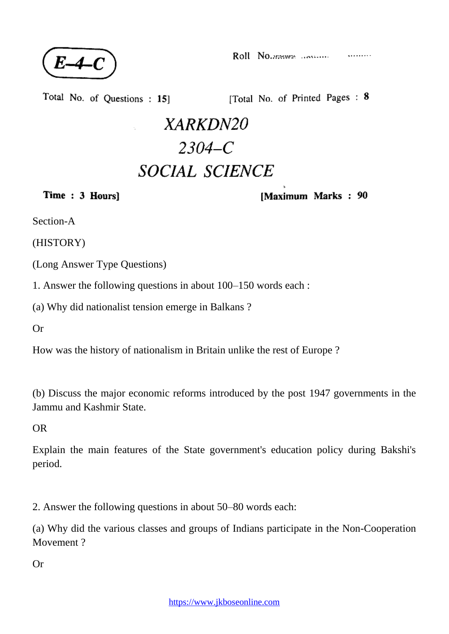

Total No. of Questions: 15]

[Total No. of Printed Pages: 8

## XARKDN20  $2304 - C$ **SOCIAL SCIENCE**

Time: 3 Hours]

[Maximum Marks: 90

Section-A

(HISTORY)

(Long Answer Type Questions)

1. Answer the following questions in about 100–150 words each :

(a) Why did nationalist tension emerge in Balkans ?

Or

How was the history of nationalism in Britain unlike the rest of Europe ?

(b) Discuss the major economic reforms introduced by the post 1947 governments in the Jammu and Kashmir State.

OR

Explain the main features of the State government's education policy during Bakshi's period.

2. Answer the following questions in about 50–80 words each:

(a) Why did the various classes and groups of Indians participate in the Non-Cooperation Movement ?

Or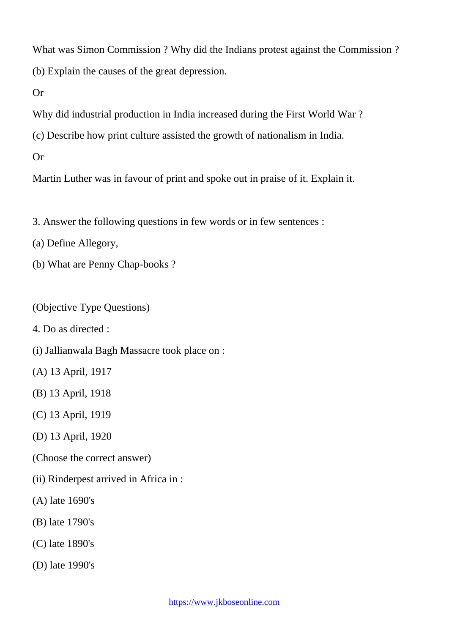What was Simon Commission ? Why did the Indians protest against the Commission ? (b) Explain the causes of the great depression.

Or

Why did industrial production in India increased during the First World War ?

(c) Describe how print culture assisted the growth of nationalism in India.

Or

Martin Luther was in favour of print and spoke out in praise of it. Explain it.

3. Answer the following questions in few words or in few sentences :

(a) Define Allegory,

(b) What are Penny Chap-books ?

(Objective Type Questions)

4. Do as directed :

(i) Jallianwala Bagh Massacre took place on :

(A) 13 April, 1917

(B) 13 April, 1918

(C) 13 April, 1919

(D) 13 April, 1920

(Choose the correct answer)

(ii) Rinderpest arrived in Africa in :

(A) late 1690's

(B) late 1790's

(C) late 1890's

(D) late 1990's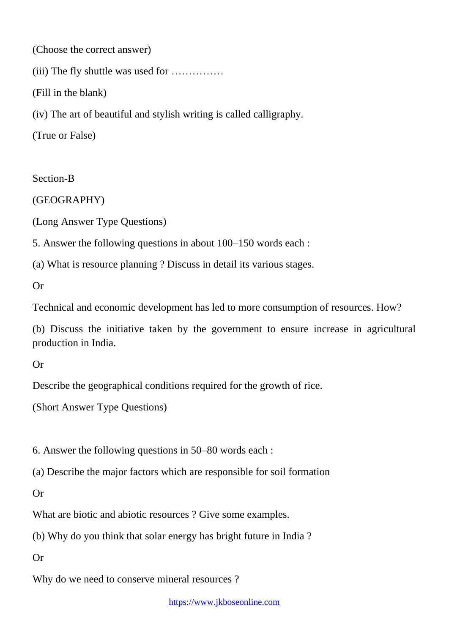(Choose the correct answer)

(iii) The fly shuttle was used for ……………

(Fill in the blank)

(iv) The art of beautiful and stylish writing is called calligraphy.

(True or False)

Section-B

(GEOGRAPHY)

(Long Answer Type Questions)

5. Answer the following questions in about 100–150 words each :

(a) What is resource planning ? Discuss in detail its various stages.

Or

Technical and economic development has led to more consumption of resources. How?

(b) Discuss the initiative taken by the government to ensure increase in agricultural production in India.

Or

Describe the geographical conditions required for the growth of rice.

(Short Answer Type Questions)

6. Answer the following questions in 50–80 words each :

(a) Describe the major factors which are responsible for soil formation

Or

What are biotic and abiotic resources ? Give some examples.

(b) Why do you think that solar energy has bright future in India ?

Or

Why do we need to conserve mineral resources ?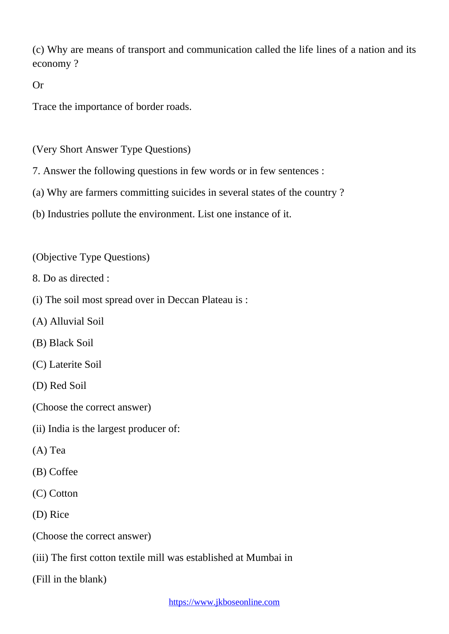(c) Why are means of transport and communication called the life lines of a nation and its economy ?

Or

Trace the importance of border roads.

(Very Short Answer Type Questions)

- 7. Answer the following questions in few words or in few sentences :
- (a) Why are farmers committing suicides in several states of the country ?
- (b) Industries pollute the environment. List one instance of it.

(Objective Type Questions)

- 8. Do as directed :
- (i) The soil most spread over in Deccan Plateau is :
- (A) Alluvial Soil
- (B) Black Soil
- (C) Laterite Soil
- (D) Red Soil
- (Choose the correct answer)
- (ii) India is the largest producer of:
- (A) Tea
- (B) Coffee
- (C) Cotton
- (D) Rice
- (Choose the correct answer)
- (iii) The first cotton textile mill was established at Mumbai in

(Fill in the blank)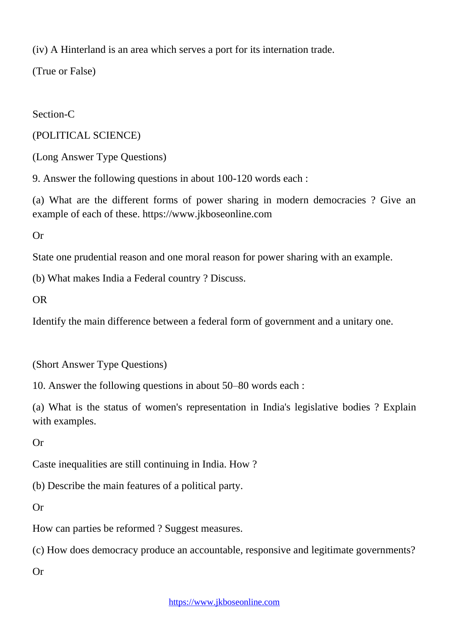(iv) A Hinterland is an area which serves a port for its internation trade.

(True or False)

Section-C

(POLITICAL SCIENCE)

(Long Answer Type Questions)

9. Answer the following questions in about 100-120 words each :

(a) What are the different forms of power sharing in modern democracies ? Give an example of each of these. https://www.jkboseonline.com

Or

State one prudential reason and one moral reason for power sharing with an example.

(b) What makes India a Federal country ? Discuss.

OR

Identify the main difference between a federal form of government and a unitary one.

(Short Answer Type Questions)

10. Answer the following questions in about 50–80 words each :

(a) What is the status of women's representation in India's legislative bodies ? Explain with examples.

Or

Caste inequalities are still continuing in India. How ?

(b) Describe the main features of a political party.

Or

How can parties be reformed ? Suggest measures.

(c) How does democracy produce an accountable, responsive and legitimate governments?

Or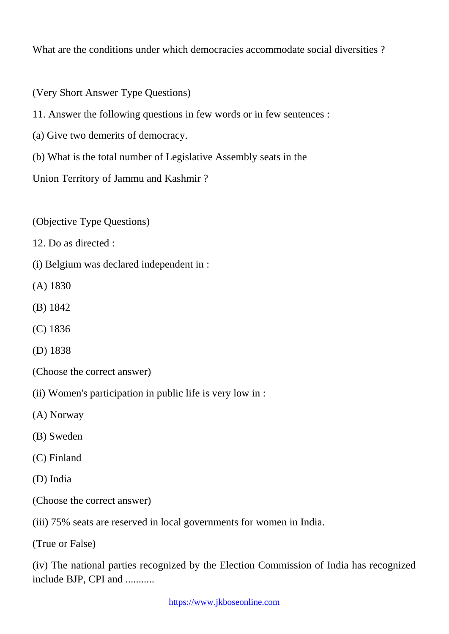What are the conditions under which democracies accommodate social diversities?

(Very Short Answer Type Questions)

11. Answer the following questions in few words or in few sentences :

(a) Give two demerits of democracy.

(b) What is the total number of Legislative Assembly seats in the

Union Territory of Jammu and Kashmir ?

(Objective Type Questions)

12. Do as directed :

(i) Belgium was declared independent in :

(A) 1830

(B) 1842

(C) 1836

(D) 1838

(Choose the correct answer)

(ii) Women's participation in public life is very low in :

(A) Norway

(B) Sweden

(C) Finland

(D) India

(Choose the correct answer)

(iii) 75% seats are reserved in local governments for women in India.

(True or False)

(iv) The national parties recognized by the Election Commission of India has recognized include BJP, CPI and ...........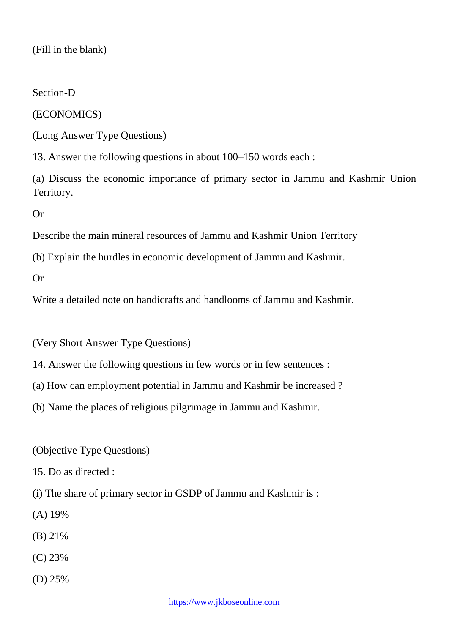(Fill in the blank)

Section-D

(ECONOMICS)

(Long Answer Type Questions)

13. Answer the following questions in about 100–150 words each :

(a) Discuss the economic importance of primary sector in Jammu and Kashmir Union Territory.

Or

Describe the main mineral resources of Jammu and Kashmir Union Territory

(b) Explain the hurdles in economic development of Jammu and Kashmir.

Or

Write a detailed note on handicrafts and handlooms of Jammu and Kashmir.

(Very Short Answer Type Questions)

14. Answer the following questions in few words or in few sentences :

(a) How can employment potential in Jammu and Kashmir be increased ?

(b) Name the places of religious pilgrimage in Jammu and Kashmir.

(Objective Type Questions)

15. Do as directed :

(i) The share of primary sector in GSDP of Jammu and Kashmir is :

- (A) 19%
- (B) 21%
- (C) 23%
- (D) 25%